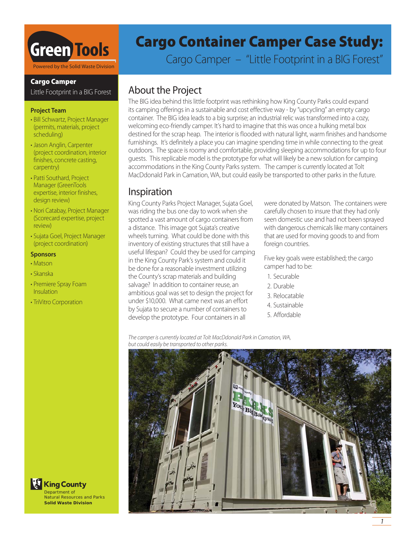

# **Cargo Camper**

Little Footprint in a BIG Forest

### **Project Team**

- Bill Schwartz, Project Manager (permits, materials, project scheduling)
- Jason Anglin, Carpenter (project coordination, interior finishes, concrete casting, carpentry)
- Patti Southard, Project Manager (GreenTools expertise, interior finishes, design review)
- Nori Catabay, Project Manager (Scorecard expertise, project review)
- Sujata Goel, Project Manager (project coordination)

### **Sponsors**

- Matson
- Skanska
- Premiere Spray Foam Insulation
- TriVitro Corporation

# **Cargo Container Camper Case Study:**

Cargo Camper – "Little Footprint in a BIG Forest"

# About the Project

The BIG idea behind this little footprint was rethinking how King County Parks could expand its camping offerings in a sustainable and cost effective way - by "upcycling" an empty cargo container. The BIG idea leads to a big surprise; an industrial relic was transformed into a cozy, welcoming eco-friendly camper. It's hard to imagine that this was once a hulking metal box destined for the scrap heap. The interior is flooded with natural light, warm finishes and handsome furnishings. It's definitely a place you can imagine spending time in while connecting to the great outdoors. The space is roomy and comfortable, providing sleeping accommodations for up to four guests. This replicable model is the prototype for what will likely be a new solution for camping accommodations in the King County Parks system. The camper is currently located at Tolt MacDdonald Park in Carnation, WA, but could easily be transported to other parks in the future.

# Inspiration

King County Parks Project Manager, Sujata Goel, was riding the bus one day to work when she spotted a vast amount of cargo containers from a distance. This image got Sujata's creative wheels turning. What could be done with this inventory of existing structures that still have a useful lifespan? Could they be used for camping in the King County Park's system and could it be done for a reasonable investment utilizing the County's scrap materials and building salvage? In addition to container reuse, an ambitious goal was set to design the project for under \$10,000. What came next was an effort by Sujata to secure a number of containers to develop the prototype. Four containers in all

were donated by Matson. The containers were carefully chosen to insure that they had only seen domestic use and had not been sprayed with dangerous chemicals like many containers that are used for moving goods to and from foreign countries.

Five key goals were established; the cargo camper had to be:

- 1. Securable
- 2. Durable
- 3. Relocatable
- 4. Sustainable
- 5. Affordable

The camper is currently located at Tolt MacDdonald Park in Carnation, WA, but could easily be transported to other parks.



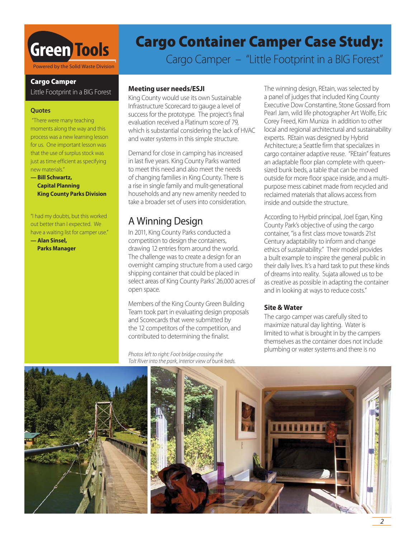

# **Cargo Camper**

Little Footprint in a BIG Forest

### **Quotes**

 "There were many teaching moments along the way and this process was a new learning lesson for us. One important lesson was that the use of surplus stock was just as time efficient as specifying new materials."

**— Bill Schwartz, Capital Planning King County Parks Division**

"I had my doubts, but this worked out better than I expected. We have a waiting list for camper use."

**— Alan Sinsel, Parks Manager**

# **Cargo Container Camper Case Study:**

Cargo Camper – "Little Footprint in a BIG Forest"

# **Meeting user needs/ESJI**

King County would use its own Sustainable Infrastructure Scorecard to gauge a level of success for the prototype. The project's final evaluation received a Platinum score of 79, which is substantial considering the lack of HVAC and water systems in this simple structure.

Demand for close in camping has increased in last five years. King County Parks wanted to meet this need and also meet the needs of changing families in King County. There is a rise in single family and mulit-generational households and any new amenity needed to take a broader set of users into consideration.

# A Winning Design

In 2011, King County Parks conducted a competition to design the containers, drawing 12 entries from around the world. The challenge was to create a design for an overnight camping structure from a used cargo shipping container that could be placed in select areas of King County Parks' 26,000 acres of open space.

Members of the King County Green Building Team took part in evaluating design proposals and Scorecards that were submitted by the 12 competitors of the competition, and contributed to determining the finalist.

Photos left to right: Foot bridge crossing the Tolt River into the park, Interior view of bunk beds. The winning design, REtain, was selected by a panel of judges that included King County Executive Dow Constantine, Stone Gossard from Pearl Jam, wild life photographer Art Wolfe, Eric Corey Freed, Kim Muniza in addition to other local and regional architectural and sustainability experts. REtain was designed by Hybrid Architecture; a Seattle firm that specializes in cargo container adaptive reuse. "REtain" features an adaptable floor plan complete with queensized bunk beds, a table that can be moved outside for more floor space inside, and a multipurpose mess cabinet made from recycled and reclaimed materials that allows access from inside and outside the structure.

According to Hyrbid principal, Joel Egan, King County Park's objective of using the cargo container, "is a first class move towards 21st Century adaptability to inform and change ethics of sustainability." Their model provides a built example to inspire the general public in their daily lives. It's a hard task to put these kinds of dreams into reality. Sujata allowed us to be as creative as possible in adapting the container and in looking at ways to reduce costs."

# **Site & Water**

The cargo camper was carefully sited to maximize natural day lighting. Water is limited to what is brought in by the campers themselves as the container does not include plumbing or water systems and there is no



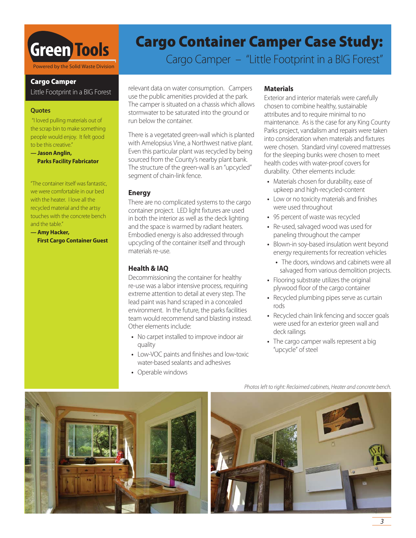

# **Cargo Camper**

Little Footprint in a BIG Forest

### **Quotes**

 "I loved pulling materials out of the scrap bin to make something people would enjoy. It felt good to be this creative."

**— Jason Anglin, Parks Facility Fabricator**

"The container itself was fantastic, we were comfortable in our bed with the heater. I love all the recycled material and the artsy touches with the concrete bench and the table."

**— Amy Hacker, First Cargo Container Guest**

# **Cargo Container Camper Case Study:**

Cargo Camper – "Little Footprint in a BIG Forest"

relevant data on water consumption. Campers use the public amenities provided at the park. The camper is situated on a chassis which allows stormwater to be saturated into the ground or run below the container.

There is a vegetated green-wall which is planted with Amelopsius Vine, a Northwest native plant. Even this particular plant was recycled by being sourced from the County's nearby plant bank. The structure of the green-wall is an "upcycled" segment of chain-link fence.

# **Energy**

There are no complicated systems to the cargo container project. LED light fixtures are used in both the interior as well as the deck lighting and the space is warmed by radiant heaters. Embodied energy is also addressed through upcycling of the container itself and through materials re-use.

# **Health & IAQ**

Decommissioning the container for healthy re-use was a labor intensive process, requiring extreme attention to detail at every step. The lead paint was hand scraped in a concealed environment. In the future, the parks facilities team would recommend sand blasting instead. Other elements include:

- No carpet installed to improve indoor air quality
- Low-VOC paints and finishes and low-toxic water-based sealants and adhesives
- Operable windows

### **Materials**

Exterior and interior materials were carefully chosen to combine healthy, sustainable attributes and to require minimal to no maintenance. As is the case for any King County Parks project, vandalism and repairs were taken into consideration when materials and fixtures were chosen. Standard vinyl covered mattresses for the sleeping bunks were chosen to meet health codes with water-proof covers for durability. Other elements include:

- Materials chosen for durability, ease of upkeep and high-recycled-content
- Low or no toxicity materials and finishes were used throughout
- 95 percent of waste was recycled
- Re-used, salvaged wood was used for paneling throughout the camper
- Blown-in soy-based insulation went beyond energy requirements for recreation vehicles
	- The doors, windows and cabinets were all salvaged from various demolition projects.
- Flooring substrate utilizes the original plywood floor of the cargo container
- Recycled plumbing pipes serve as curtain rods
- Recycled chain link fencing and soccer goals were used for an exterior green wall and deck railings
- The cargo camper walls represent a big "upcycle" of steel



Photos left to right: Reclaimed cabinets, Heater and concrete bench.